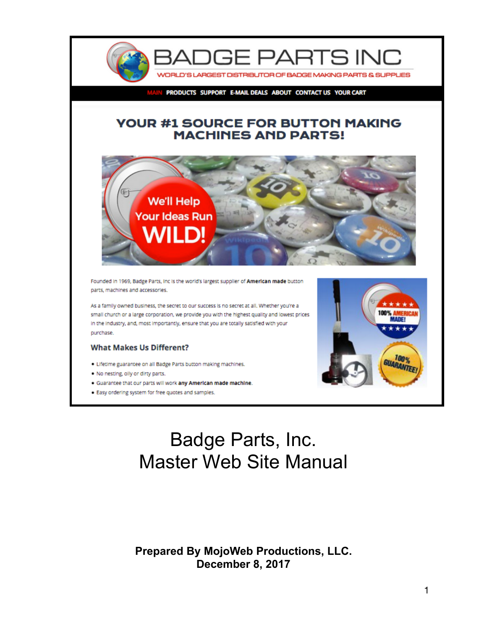

PRODUCTS SUPPORT E-MAIL DEALS ABOUT CONTACT US YOUR CART

#### **YOUR #1 SOURCE FOR BUTTON MAKING MACHINES AND PARTS!**



Founded in 1969, Badge Parts, Inc is the world's largest supplier of American made button parts, machines and accessories.

As a family owned business, the secret to our success is no secret at all. Whether you're a small church or a large corporation, we provide you with the highest quality and lowest prices in the industry, and, most importantly, ensure that you are totally satisfied with your purchase.

#### **What Makes Us Different?**

- . Lifetime guarantee on all Badge Parts button making machines.
- . No nesting, oily or dirty parts.
- . Guarantee that our parts will work any American made machine.
- . Easy ordering system for free quotes and samples.



# Badge Parts, Inc. Master Web Site Manual

#### **Prepared By MojoWeb Productions, LLC. December 8, 2017**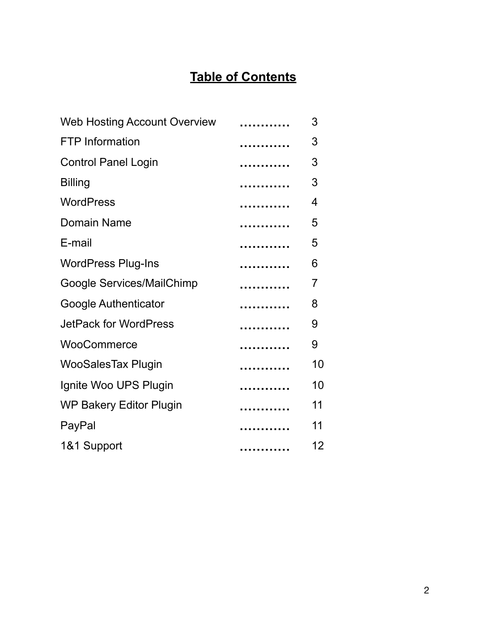## **Table of Contents**

| <b>Web Hosting Account Overview</b> |   | 3              |
|-------------------------------------|---|----------------|
| <b>FTP</b> Information              |   | 3              |
| <b>Control Panel Login</b>          |   | 3              |
| <b>Billing</b>                      | . | 3              |
| <b>WordPress</b>                    | . | 4              |
| Domain Name                         |   | 5              |
| E-mail                              |   | 5              |
| <b>WordPress Plug-Ins</b>           |   | 6              |
| Google Services/MailChimp           | . | $\overline{7}$ |
| <b>Google Authenticator</b>         |   | 8              |
| <b>JetPack for WordPress</b>        |   | 9              |
| WooCommerce                         | . | 9              |
| <b>WooSalesTax Plugin</b>           | . | 10             |
| Ignite Woo UPS Plugin               | . | 10             |
| <b>WP Bakery Editor Plugin</b>      |   | 11             |
| PayPal                              | . | 11             |
| 1&1 Support                         |   | 12             |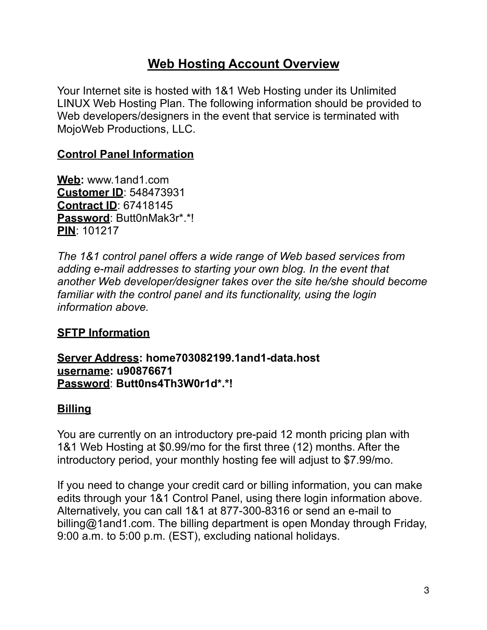## **Web Hosting Account Overview**

Your Internet site is hosted with 1&1 Web Hosting under its Unlimited LINUX Web Hosting Plan. The following information should be provided to Web developers/designers in the event that service is terminated with MojoWeb Productions, LLC.

### **Control Panel Information**

**Web:** www.1and1.com **Customer ID**: 548473931 **Contract ID**: 67418145 **Password**: Butt0nMak3r\*.\*! **PIN**: 101217

*The 1&1 control panel offers a wide range of Web based services from adding e-mail addresses to starting your own blog. In the event that another Web developer/designer takes over the site he/she should become familiar with the control panel and its functionality, using the login information above.* 

#### **SFTP Information**

**Server Address: home703082199.1and1-data.host username: u90876671 Password**: **Butt0ns4Th3W0r1d\*.\*!**

#### **Billing**

You are currently on an introductory pre-paid 12 month pricing plan with 1&1 Web Hosting at \$0.99/mo for the first three (12) months. After the introductory period, your monthly hosting fee will adjust to \$7.99/mo.

If you need to change your credit card or billing information, you can make edits through your 1&1 Control Panel, using there login information above. Alternatively, you can call 1&1 at 877-300-8316 or send an e-mail to billing@1and1.com. The billing department is open Monday through Friday, 9:00 a.m. to 5:00 p.m. (EST), excluding national holidays.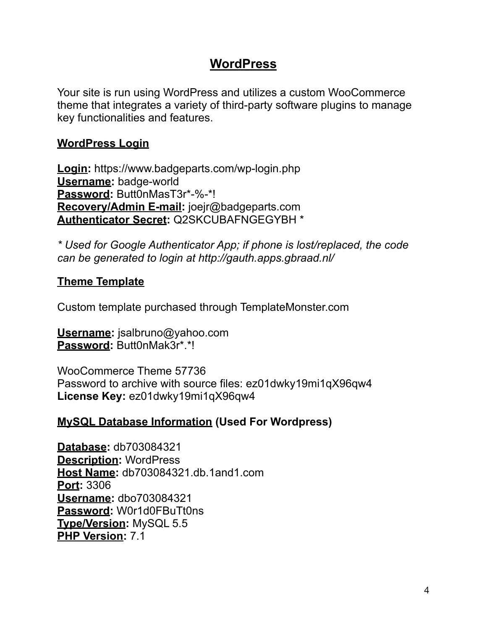## **WordPress**

Your site is run using WordPress and utilizes a custom WooCommerce theme that integrates a variety of third-party software plugins to manage key functionalities and features.

#### **WordPress Login**

**Login:** https://www.badgeparts.com/wp-login.php **Username:** badge-world **Password:** Butt0nMasT3r\*-%-\*! **Recovery/Admin E-mail:** joejr@badgeparts.com **Authenticator Secret:** Q2SKCUBAFNGEGYBH \*

*\* Used for Google Authenticator App; if phone is lost/replaced, the code can be generated to login at http://gauth.apps.gbraad.nl/* 

#### **Theme Template**

Custom template purchased through TemplateMonster.com

**Username:** jsalbruno@yahoo.com **Password:** Butt0nMak3r\*.\*!

WooCommerce Theme 57736 Password to archive with source files: ez01dwky19mi1qX96qw4 **License Key:** ez01dwky19mi1qX96qw4

#### **MySQL Database Information (Used For Wordpress)**

**Database:** db703084321 **Description:** WordPress **Host Name:** db703084321.db.1and1.com **Port:** 3306 **Username:** dbo703084321 **Password:** W0r1d0FBuTt0ns **Type/Version:** MySQL 5.5 **PHP Version:** 7.1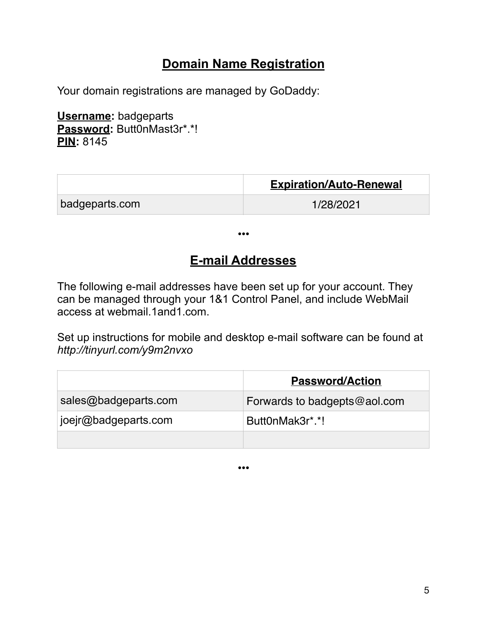## **Domain Name Registration**

Your domain registrations are managed by GoDaddy:

**Username:** badgeparts Password: ButtOnMast3r\*.\*! **PIN:** 8145

|                | <b>Expiration/Auto-Renewal</b> |
|----------------|--------------------------------|
| badgeparts.com | 1/28/2021                      |

•••

## **E-mail Addresses**

The following e-mail addresses have been set up for your account. They can be managed through your 1&1 Control Panel, and include WebMail access at [webmail.1and1.com.](http://webmail.1and1.com)

Set up instructions for mobile and desktop e-mail software can be found at *http://tinyurl.com/y9m2nvxo*

|                      | <b>Password/Action</b>       |
|----------------------|------------------------------|
| sales@badgeparts.com | Forwards to badgepts@aol.com |
| joejr@badgeparts.com | Butt0nMak3r*.*!              |
|                      |                              |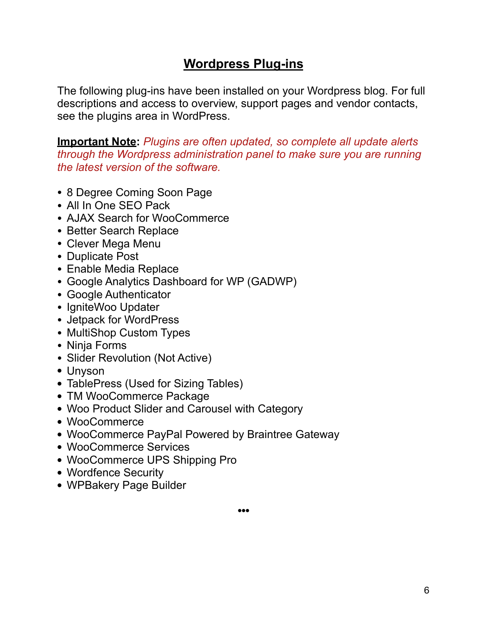## **Wordpress Plug-ins**

The following plug-ins have been installed on your Wordpress blog. For full descriptions and access to overview, support pages and vendor contacts, see the plugins area in WordPress.

**Important Note:** *Plugins are often updated, so complete all update alerts through the Wordpress administration panel to make sure you are running the latest version of the software.*

- 8 Degree Coming Soon Page
- All In One SEO Pack
- AJAX Search for WooCommerce
- Better Search Replace
- Clever Mega Menu
- Duplicate Post
- Enable Media Replace
- Google Analytics Dashboard for WP (GADWP)
- Google Authenticator
- IgniteWoo Updater
- Jetpack for WordPress
- MultiShop Custom Types
- Ninja Forms
- Slider Revolution (Not Active)
- Unyson
- TablePress (Used for Sizing Tables)
- TM WooCommerce Package
- Woo Product Slider and Carousel with Category
- WooCommerce
- WooCommerce PayPal Powered by Braintree Gateway
- WooCommerce Services
- WooCommerce UPS Shipping Pro
- Wordfence Security
- WPBakery Page Builder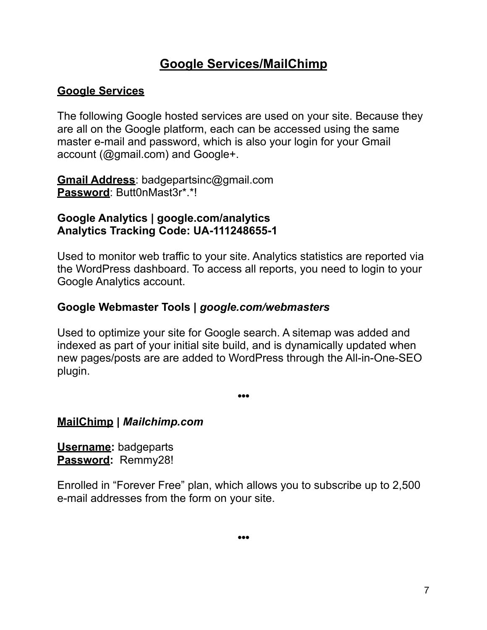## **Google Services/MailChimp**

### **Google Services**

The following Google hosted services are used on your site. Because they are all on the Google platform, each can be accessed using the same master e-mail and password, which is also your login for your Gmail account (@gmail.com) and Google+.

**Gmail Address**: badgepartsinc@gmail.com **Password**: Butt0nMast3r\*.\*!

#### **Google Analytics | google.com/analytics Analytics Tracking Code: UA-111248655-1**

Used to monitor web traffic to your site. Analytics statistics are reported via the WordPress dashboard. To access all reports, you need to login to your Google Analytics account.

#### **Google Webmaster Tools |** *google.com/webmasters*

Used to optimize your site for Google search. A sitemap was added and indexed as part of your initial site build, and is dynamically updated when new pages/posts are are added to WordPress through the All-in-One-SEO plugin.

**•••** 

#### **MailChimp |** *Mailchimp.com*

**Username:** badgeparts **Password:** Remmy28!

Enrolled in "Forever Free" plan, which allows you to subscribe up to 2,500 e-mail addresses from the form on your site.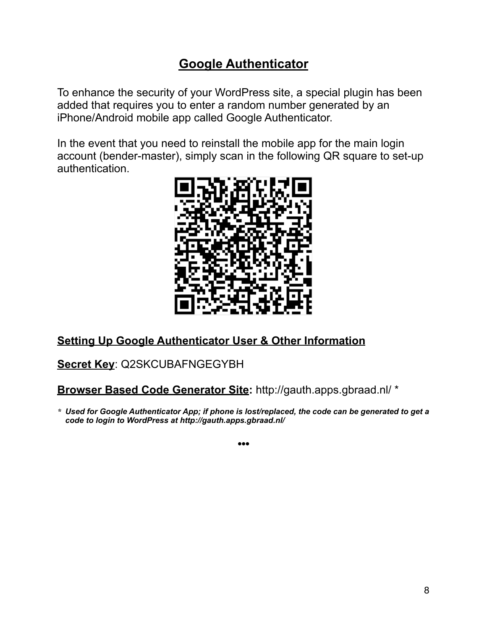## **Google Authenticator**

To enhance the security of your WordPress site, a special plugin has been added that requires you to enter a random number generated by an iPhone/Android mobile app called Google Authenticator.

In the event that you need to reinstall the mobile app for the main login account (bender-master), simply scan in the following QR square to set-up authentication.



## **Setting Up Google Authenticator User & Other Information**

**Secret Key**: Q2SKCUBAFNGEGYBH

#### **Browser Based Code Generator Site:** http://gauth.apps.gbraad.nl/ \*

*\* Used for Google Authenticator App; if phone is lost/replaced, the code can be generated to get a code to login to WordPress at http://gauth.apps.gbraad.nl/*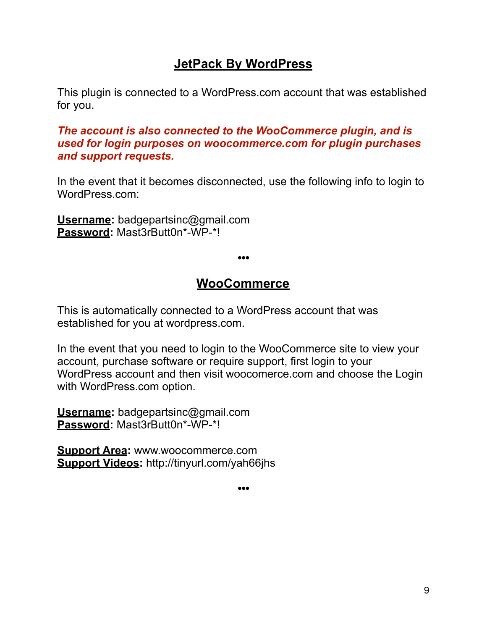## **JetPack By WordPress**

This plugin is connected to a WordPress.com account that was established for you.

#### *The account is also connected to the WooCommerce plugin, and is used for login purposes on [woocommerce.com](http://woocommerce.com) for plugin purchases and support requests.*

In the event that it becomes disconnected, use the following info to login to WordPress.com:

**Username:** badgepartsinc@gmail.com **Password:** Mast3rButt0n\*-WP-\*!

**•••** 

## **WooCommerce**

This is automatically connected to a WordPress account that was established for you at [wordpress.com.](http://wordpress.com)

In the event that you need to login to the WooCommerce site to view your account, purchase software or require support, first login to your WordPress account and then visit woocomerce.com and choose the Login with WordPress.com option.

**Username:** badgepartsinc@gmail.com **Password:** Mast3rButt0n\*-WP-\*!

**Support Area:** www.woocommerce.com **Support Videos:** http://tinyurl.com/yah66jhs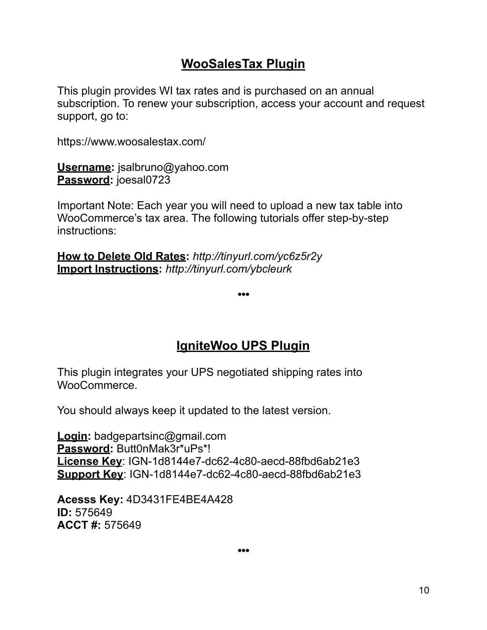## **WooSalesTax Plugin**

This plugin provides WI tax rates and is purchased on an annual subscription. To renew your subscription, access your account and request support, go to:

<https://www.woosalestax.com/>

**Username:** jsalbruno@yahoo.com **Password:** joesal0723

Important Note: Each year you will need to upload a new tax table into WooCommerce's tax area. The following tutorials offer step-by-step instructions:

**How to Delete Old Rates:** *http://tinyurl.com/yc6z5r2y* **Import Instructions:** *http://tinyurl.com/ybcleurk*

**•••** 

## **IgniteWoo UPS Plugin**

This plugin integrates your UPS negotiated shipping rates into WooCommerce.

You should always keep it updated to the latest version.

**Login:** badgepartsinc@gmail.com **Password:** Butt0nMak3r\*uPs\*! **License Key**: IGN-1d8144e7-dc62-4c80-aecd-88fbd6ab21e3 **Support Key**: IGN-1d8144e7-dc62-4c80-aecd-88fbd6ab21e3

**Acesss Key:** 4D3431FE4BE4A428 **ID:** 575649 **ACCT #:** 575649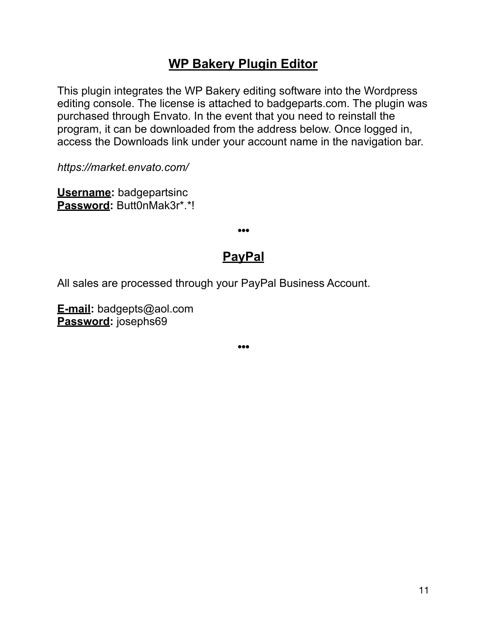## **WP Bakery Plugin Editor**

This plugin integrates the WP Bakery editing software into the Wordpress editing console. The license is attached to badgeparts.com. The plugin was purchased through Envato. In the event that you need to reinstall the program, it can be downloaded from the address below. Once logged in, access the Downloads link under your account name in the navigation bar.

*https://market.envato.com/* 

**Username:** badgepartsinc **Password:** Butt0nMak3r\*.\*!

## **PayPal**

**•••** 

All sales are processed through your PayPal Business Account.

**E-mail:** badgepts@aol.com **Password:** josephs69